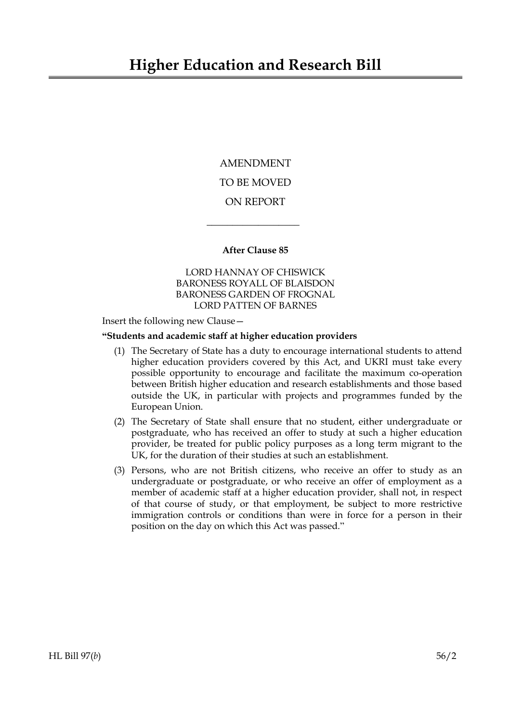AMENDMENT TO BE MOVED ON REPORT

## **After Clause 85**

 $\overline{\phantom{a}}$  , where  $\overline{\phantom{a}}$ 

LORD HANNAY OF CHISWICK BARONESS ROYALL OF BLAISDON BARONESS GARDEN OF FROGNAL LORD PATTEN OF BARNES

Insert the following new Clause—

## **"Students and academic staff at higher education providers**

- (1) The Secretary of State has a duty to encourage international students to attend higher education providers covered by this Act, and UKRI must take every possible opportunity to encourage and facilitate the maximum co-operation between British higher education and research establishments and those based outside the UK, in particular with projects and programmes funded by the European Union.
- (2) The Secretary of State shall ensure that no student, either undergraduate or postgraduate, who has received an offer to study at such a higher education provider, be treated for public policy purposes as a long term migrant to the UK, for the duration of their studies at such an establishment.
- (3) Persons, who are not British citizens, who receive an offer to study as an undergraduate or postgraduate, or who receive an offer of employment as a member of academic staff at a higher education provider, shall not, in respect of that course of study, or that employment, be subject to more restrictive immigration controls or conditions than were in force for a person in their position on the day on which this Act was passed."